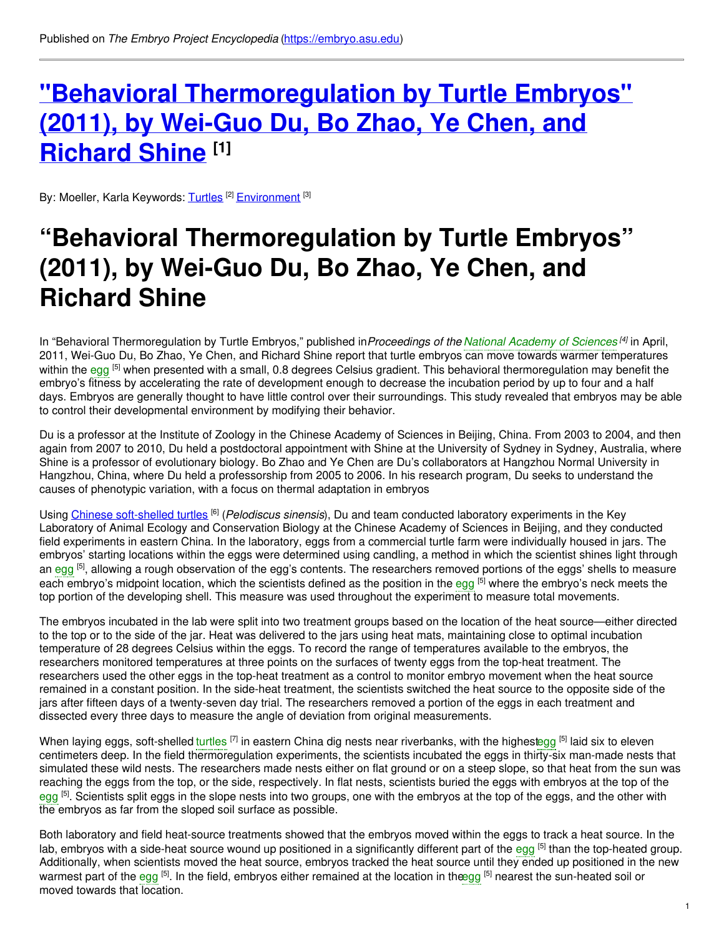# **"Behavioral [Thermoregulation](https://embryo.asu.edu/pages/behavioral-thermoregulation-turtle-embryos-2011-wei-guo-du-bo-zhao-ye-chen-and-richard-shine) by Turtle Embryos" (2011), by Wei-Guo Du, Bo Zhao, Ye Chen, and Richard Shine [1]**

By: Moeller, Karla Keywords: [Turtles](https://embryo.asu.edu/keywords/turtles) <sup>[2]</sup> [Environment](https://embryo.asu.edu/keywords/environment) <sup>[3]</sup>

# **"Behavioral Thermoregulation by Turtle Embryos" (2011), by Wei-Guo Du, Bo Zhao, Ye Chen, and Richard Shine**

In "Behavioral Thermoregulation by Turtle Embryos," published in*Proceedings of the National [Academy](https://embryo.asu.edu/search?text=National%20Academy%20of%20Sciences) of Sciences [4]* in April, 2011, Wei-Guo Du, Bo Zhao, Ye Chen, and Richard Shine report that turtle embryos can move towards warmer temperatures within the [egg](https://embryo.asu.edu/search?text=egg) <sup>[5]</sup> when presented with a small, 0.8 degrees Celsius gradient. This behavioral thermoregulation may benefit the embryo's fitness by accelerating the rate of development enough to decrease the incubation period by up to four and a half days. Embryos are generally thought to have little control over their surroundings. This study revealed that embryos may be able to control their developmental environment by modifying their behavior.

Du is a professor at the Institute of Zoology in the Chinese Academy of Sciences in Beijing, China. From 2003 to 2004, and then again from 2007 to 2010, Du held a postdoctoral appointment with Shine at the University of Sydney in Sydney, Australia, where Shine is a professor of evolutionary biology. Bo Zhao and Ye Chen are Du's collaborators at Hangzhou Normal University in Hangzhou, China, where Du held a professorship from 2005 to 2006. In his research program, Du seeks to understand the causes of phenotypic variation, with a focus on thermal adaptation in embryos

Using Chinese [soft-shelled](http://eol.org/pages/791178/overview) turtles [6] (*Pelodiscus sinensis*), Du and team conducted laboratory experiments in the Key Laboratory of Animal Ecology and Conservation Biology at the Chinese Academy of Sciences in Beijing, and they conducted field experiments in eastern China. In the laboratory, eggs from a commercial turtle farm were individually housed in jars. The embryos' starting locations within the eggs were determined using candling, a method in which the scientist shines light through an [egg](https://embryo.asu.edu/search?text=egg) <sup>[5]</sup>, allowing a rough observation of the egg's contents. The researchers removed portions of the eggs' shells to measure each embryo's midpoint location, which the scientists defined as the position in the [egg](https://embryo.asu.edu/search?text=egg) <sup>[5]</sup> where the embryo's neck meets the top portion of the developing shell. This measure was used throughout the experiment to measure total movements.

The embryos incubated in the lab were split into two treatment groups based on the location of the heat source—either directed to the top or to the side of the jar. Heat was delivered to the jars using heat mats, maintaining close to optimal incubation temperature of 28 degrees Celsius within the eggs. To record the range of temperatures available to the embryos, the researchers monitored temperatures at three points on the surfaces of twenty eggs from the top-heat treatment. The researchers used the other eggs in the top-heat treatment as a control to monitor embryo movement when the heat source remained in a constant position. In the side-heat treatment, the scientists switched the heat source to the opposite side of the jars after fifteen days of a twenty-seven day trial. The researchers removed a portion of the eggs in each treatment and dissected every three days to measure the angle of deviation from original measurements.

When laying eggs, soft-shelled [turtles](https://embryo.asu.edu/search?text=turtles) <sup>[7]</sup> in eastern China dig nests near riverbanks, with the highes[tegg](https://embryo.asu.edu/search?text=egg) <sup>[5]</sup> laid six to eleven centimeters deep. In the field thermoregulation experiments, the scientists incubated the eggs in thirty-six man-made nests that simulated these wild nests. The researchers made nests either on flat ground or on a steep slope, so that heat from the sun was reaching the eggs from the top, or the side, respectively. In flat nests, scientists buried the eggs with embryos at the top of the [egg](https://embryo.asu.edu/search?text=egg) <sup>[5]</sup>. Scientists split eggs in the slope nests into two groups, one with the embryos at the top of the eggs, and the other with the embryos as far from the sloped soil surface as possible.

Both laboratory and field heat-source treatments showed that the embryos moved within the eggs to track a heat source. In the lab, embryos with a side-heat source wound up positioned in a significantly different part of the [egg](https://embryo.asu.edu/search?text=egg) <sup>[5]</sup> than the top-heated group. Additionally, when scientists moved the heat source, embryos tracked the heat source until they ended up positioned in the new warmest part of the [egg](https://embryo.asu.edu/search?text=egg) <sup>[5]</sup>. In the field, embryos either remained at the location in th[eegg](https://embryo.asu.edu/search?text=egg) <sup>[5]</sup> nearest the sun-heated soil or moved towards that location.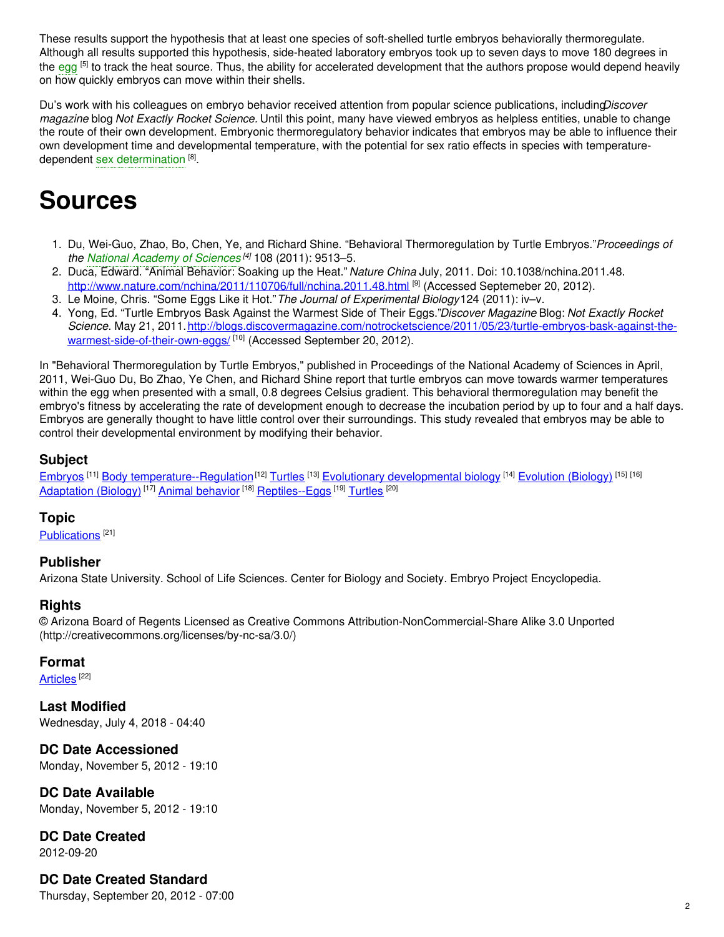These results support the hypothesis that at least one species of soft-shelled turtle embryos behaviorally thermoregulate. Although all results supported this hypothesis, side-heated laboratory embryos took up to seven days to move 180 degrees in the [egg](https://embryo.asu.edu/search?text=egg) <sup>[5]</sup> to track the heat source. Thus, the ability for accelerated development that the authors propose would depend heavily on how quickly embryos can move within their shells.

Du's work with his colleagues on embryo behavior received attention from popular science publications, including*Discover magazine* blog *Not Exactly Rocket Science.* Until this point, many have viewed embryos as helpless entities, unable to change the route of their own development. Embryonic thermoregulatory behavior indicates that embryos may be able to influence their own development time and developmental temperature, with the potential for sex ratio effects in species with temperaturedependent sex [determination](https://embryo.asu.edu/search?text=sex%20determination)<sup>[8]</sup>.

# **Sources**

- 1. Du, Wei-Guo, Zhao, Bo, Chen, Ye, and Richard Shine. "Behavioral Thermoregulation by Turtle Embryos."*Proceedings of the National [Academy](https://embryo.asu.edu/search?text=National%20Academy%20of%20Sciences) of Sciences [4]* 108 (2011): 9513–5.
- 2. Duca, Edward. "Animal Behavior: Soaking up the Heat." *Nature China* July, 2011. Doi: 10.1038/nchina.2011.48. <http://www.nature.com/nchina/2011/110706/full/nchina.2011.48.html> <sup>[9]</sup> (Accessed Septemeber 20, 2012).
- 3. Le Moine, Chris. "Some Eggs Like it Hot."*The Journal of Experimental Biology*124 (2011): iv–v.
- 4. Yong, Ed. "Turtle Embryos Bask Against the Warmest Side of Their Eggs."*Discover Magazine* Blog: *Not Exactly Rocket Science*. May 21, [2011.http://blogs.discovermagazine.com/notrocketscience/2011/05/23/turtle-embryos-bask-against-the](https://blogs.discovermagazine.com/notrocketscience/2011/05/23/turtle-embryos-bask-against-the-warmest-side-of-their-own-eggs/)warmest-side-of-their-own-eggs/<sup>[10]</sup> (Accessed September 20, 2012).

In "Behavioral Thermoregulation by Turtle Embryos," published in Proceedings of the National Academy of Sciences in April, 2011, Wei-Guo Du, Bo Zhao, Ye Chen, and Richard Shine report that turtle embryos can move towards warmer temperatures within the egg when presented with a small, 0.8 degrees Celsius gradient. This behavioral thermoregulation may benefit the embryo's fitness by accelerating the rate of development enough to decrease the incubation period by up to four and a half days. Embryos are generally thought to have little control over their surroundings. This study revealed that embryos may be able to control their developmental environment by modifying their behavior.

## **Subject**

[Embryos](https://embryo.asu.edu/library-congress-subject-headings/embryos) <sup>[11]</sup> Body [temperature--Regulation](https://embryo.asu.edu/library-congress-subject-headings/body-temperature-regulation)<sup>[12]</sup> [Turtles](https://embryo.asu.edu/library-congress-subject-headings/turtles) <sup>[13]</sup> Evolutionary [developmental](https://embryo.asu.edu/library-congress-subject-headings/evolutionary-developmental-biology) biology <sup>[14]</sup> [Evolution](https://embryo.asu.edu/library-congress-subject-headings/evolution-biology) (Biology) <sup>[15] [16]</sup> [Adaptation](https://embryo.asu.edu/library-congress-subject-headings/adaptation-biology) (Biology)<sup>[17]</sup> Animal [behavior](https://embryo.asu.edu/library-congress-subject-headings/animal-behavior)<sup>[18]</sup> [Reptiles--Eggs](https://embryo.asu.edu/library-congress-subject-headings/reptiles-eggs)<sup>[19]</sup> [Turtles](https://embryo.asu.edu/medical-subject-headings/turtles)<sup>[20]</sup>

### **Topic**

[Publications](https://embryo.asu.edu/topics/publications)<sup>[21]</sup>

#### **Publisher**

Arizona State University. School of Life Sciences. Center for Biology and Society. Embryo Project Encyclopedia.

#### **Rights**

© Arizona Board of Regents Licensed as Creative Commons Attribution-NonCommercial-Share Alike 3.0 Unported (http://creativecommons.org/licenses/by-nc-sa/3.0/)

#### **Format**

[Articles](https://embryo.asu.edu/formats/articles)<sup>[22]</sup>

**Last Modified** Wednesday, July 4, 2018 - 04:40

**DC Date Accessioned** Monday, November 5, 2012 - 19:10

**DC Date Available** Monday, November 5, 2012 - 19:10

**DC Date Created** 2012-09-20

### **DC Date Created Standard**

Thursday, September 20, 2012 - 07:00